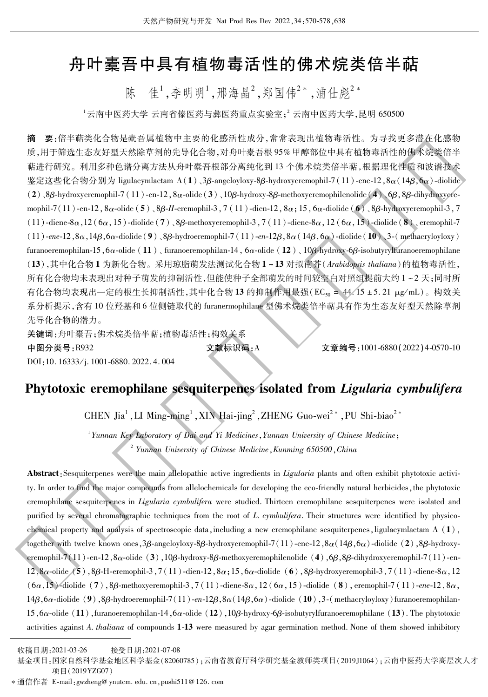# 舟叶橐吾中具有植物毒活性的佛术烷类倍半萜

陈 佳<sup>1</sup> 李明明<sup>1</sup> 邢海晶<sup>2</sup> 郑国伟<sup>2</sup> 浦什彪<sup>2</sup>

 $^{-1}$ 云南中医药大学 云南省傣医药与彝医药重点实验室;2 云南中医药大学,昆明 650500

要:倍半萜类化合物是橐吾属植物中主要的化感活性成分,常常表现出植物毒活性。为寻找更多潜在化感物 摘 质,用于筛选生态友好型天然除草剂的先导化合物,对舟叶橐吾根95%甲醇部位中具有植物毒活性的佛术烷类倍半 萜进行研究。利用多种色谱分离方法从舟叶橐吾根部分离纯化到13个佛术烷类倍半萜,根据理化性质和波谱技术 鉴定这些化合物分别为 ligulacymlactam A(1)、3β-angeloyloxy-8β-hydroxyeremophil-7(11)-ene-12,8α(14β,6α)-diolide  $(2)$ , 8 $\beta$ -hydroxyeremophil-7 (11)-en-12,  $8\alpha$ -olide (3), 10 $\beta$ -hydroxy-8 $\beta$ -methoxyeremophilenolide (4), 6 $\beta$ , 8 $\beta$ -dihydroxyeremophil-7(11)-en-12,  $8\alpha$ -olide (5),  $8\beta$ -H-eremophil-3, 7(11)-dien-12,  $8\alpha$ ; 15,  $6\alpha$ -diolide (6),  $8\beta$ -hydroxyeremophil-3, 7  $(11)$ -diene-8 $\alpha$ , 12  $(6\alpha, 15)$ -diolide  $(7)$ , 8 $\beta$ -methoxyeremophil-3, 7  $(11)$ -diene-8 $\alpha$ , 12  $(6\alpha, 15)$ -diolide  $(8)$ , eremophil-7  $(11)$ -ene-12,  $8\alpha$ ,  $14\beta$ ,  $6\alpha$ -diolide (9),  $8\beta$ -hydroeremophil-7 (11)-en-12 $\beta$ ,  $8\alpha$  (14 $\beta$ ,  $6\alpha$ )-diolide (10), 3-(methacryloyloxy) furanoeremophilan-15,  $6\alpha$ -olide (11), furanoeremophilan-14,  $6\alpha$ -olide (12), 10 $\beta$ -hydroxy-6 $\beta$ -isobutyrylfuranoeremophilane (13),其中化合物1为新化合物。采用琼脂萌发法测试化合物1~13对拟南芥(Arabidopsis thaliana)的植物毒活性, 所有化合物均未表现出对种子萌发的抑制活性,但能使种子全部萌发的时间较空白对照组提前大约1~2天;同时所 有化合物均表现出一定的根生长抑制活性,其中化合物13的抑制作用最强(ECso = 44.15 ±5.21 μg/mL)。构效关 系分析提示,含有10位羟基和6位侧链取代的 furanermophilane 型佛术烷类倍半萜具有作为生态友好型天然除草剂 先导化合物的潜力。 关键词:舟叶橐吾;佛术烷类倍半萜;植物毒活性;构效关系

中图分类号:R932

DOI:10.16333/j.1001-6880.2022.4.004

文献标识码:A

文章编号:1001-6880(2022)4-0570-10

## Phytotoxic eremophilane sesquiterpenes isolated from Ligularia cymbulifera

CHEN Jia<sup>1</sup>, LI Ming-ming<sup>1</sup>, XIN Hai-jing<sup>2</sup>, ZHENG Guo-wei<sup>2\*</sup>, PU Shi-biao<sup>2\*</sup>

<sup>1</sup> Yunnan Key Laboratory of Dai and Yi Medicines, Yunnan University of Chinese Medicine; <sup>2</sup> Yunnan University of Chinese Medicine, Kunming 650500, China

Abstract: Sesquiterpenes were the main allelopathic active ingredients in Ligularia plants and often exhibit phytotoxic activity. In order to find the major compounds from allelochemicals for developing the eco-friendly natural herbicides, the phytotoxic eremophilane sesquiterpenes in *Ligularia cymbulifera* were studied. Thirteen eremophilane sesquiterpenes were isolated and purified by several chromatographic techniques from the root of L. cymbulifera. Their structures were identified by physicochemical property and analysis of spectroscopic data, including a new eremophilane sesquiterpenes, ligular valued at  $(A)$ , together with twelve known ones,  $3\beta$ -angeloyloxy-8 $\beta$ -hydroxyeremophil-7(11)-ene-12,  $8\alpha(14\beta, 6\alpha)$ -diolide (2),  $8\beta$ -hydroxyeremophil-7(11)-en-12,8 $\alpha$ -olide (3),10 $\beta$ -hydroxy-8 $\beta$ -methoxyeremophilenolide (4),6 $\beta$ ,8 $\beta$ -dihydroxyeremophil-7(11)-en-12, 8 $\alpha$ -olide (5), 8 $\beta$ -H-eremophil-3, 7(11)-dien-12, 8 $\alpha$ ; 15, 6 $\alpha$ -diolide (6), 8 $\beta$ -hydroxyeremophil-3, 7(11)-diene-8 $\alpha$ , 12  $(6\alpha, 15)$ -diolide (7), 8B-methoxyeremophil-3, 7(11)-diene-8 $\alpha$ , 12( $6\alpha$ , 15)-diolide (8), eremophil-7(11)-ene-12, 8 $\alpha$ ,  $14\beta$ ,  $6\alpha$ -diolide (9),  $8\beta$ -hydroeremophil-7(11)-en-12 $\beta$ ,  $8\alpha$ ( $14\beta$ ,  $6\alpha$ )-diolide (10), 3-(methacryloyloxy) furanoeremophilan-15,6 $\alpha$ -olide (11), furanceremophilan-14,6 $\alpha$ -olide (12), 10 $\beta$ -hydroxy-6 $\beta$ -isobutyrylfuranceremophilane (13). The phytotoxic activities against A. thaliana of compounds 1-13 were measured by agar germination method. None of them showed inhibitory

收稿日期:2021-03-26 接受日期: 2021-07-08

基金项目:国家自然科学基金地区科学基金(82060785);云南省教育厅科学研究基金教师类项目(2019J1064);云南中医药大学高层次人才 项目(2019YZG07)

<sup>\*</sup> 通信作者 E-mail: gwzheng@ ynutcm. edu. cn, pushi511@126. com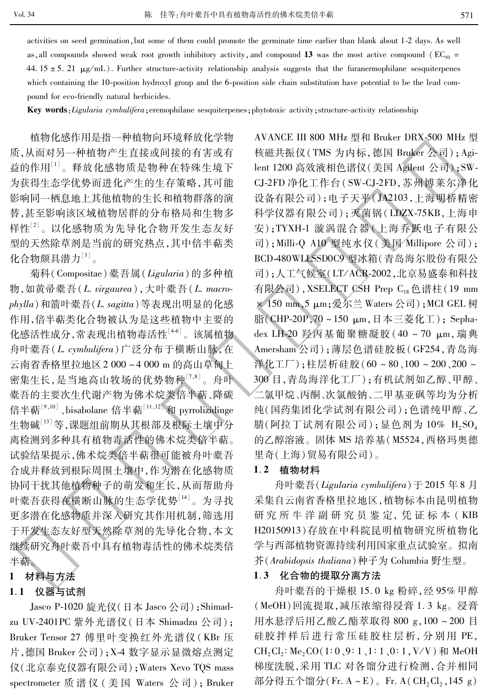activities on seed germination, but some of them could promote the germinate time earlier than blank about 1-2 days. As well as all compounds showed weak root growth inhibitory activity, and compound 13 was the most active compound ( $EC_{50}$  = 44.15 ± 5.21  $\mu$ g/mL). Further structure-activity relationship analysis suggests that the furanermophilane sesquiterpenes which containing the 10-position hydroxyl group and the 6-position side chain substitution have potential to be the lead compound for eco-friendly natural herbicides.

Key words: Ligularia cymbulifera; eremophilane sesquiterpenes; phytotoxic activity; structure-activity relationship

植物化感作用是指一种植物向环境释放化学物 质,从而对另一种植物产生直接或间接的有害或有 益的作用[1]。释放化感物质是物种在特殊生境下 为获得生态学优势而进化产生的生存策略,其可能 影响同一栖息地上其他植物的生长和植物群落的演 替,甚至影响该区域植物居群的分布格局和生物多 样性[2]。以化感物质为先导化合物开发生态友好 型的天然除草剂是当前的研究热点,其中倍半萜类 化合物颇具潜力[3]。

菊科(Compositae)橐吾属(Ligularia)的多种植 物,如黄帚橐吾(L. virgaurea), 大叶橐吾(L. macrophylla)和箭叶橐吾(L. sagitta)等表现出明显的化感 作用,倍半萜类化合物被认为是这些植物中主要的 化感活性成分,常表现出植物毒活性[46]。该属植物 舟叶橐吾(L. cymbulifera)广泛分布于横断山脉,在 云南省香格里拉地区2000~4000m的高山草甸上 密集生长,是当地高山牧场的优势物种[7,8]。舟叶 橐吾的主要次生代谢产物为佛术烷类倍半萜、降碳 倍半萜<sup>[9,10]</sup>、bisabolane 倍半萜<sup>[11,12]</sup> 和 pyrrolizidinge 生物碱[13]等,课题组前期从其根部及根际土壤中分 离检测到多种具有植物毒活性的佛术烷类倍半萜。 试验结果提示,佛术烷类倍半萜很可能被舟叶橐吾 合成并释放到根际周围土壤中,作为潜在化感物质 协同干扰其他植物种子的萌发和生长,从而帮助舟 叶橐吾获得在横断山脉的生态学优势[14]。为寻找 更多潜在化感物质并深入研究其作用机制,筛选用 于开发生态友好型天然除草剂的先导化合物,本文 继续研究舟叶橐吾中具有植物毒活性的佛术烷类倍 半萜。

#### $\mathbf{1}$ 材料与方法

#### 1.1 仪器与试剂

Jasco P-1020 旋光仪 (日本 Jasco 公司); Shimadzu UV-2401PC 紫外光谱仪 (日本 Shimadzu 公司); Bruker Tensor 27 傅里叶变换红外光谱仪 (KBr 压 片, 德国 Bruker 公司); X-4 数字显示显微熔点测定 仪(北京泰克仪器有限公司); Waters Xevo TQS mass spectrometer 质谱仪 (美国 Waters 公司); Bruker AVANCE III 800 MHz 型和 Bruker DRX-500 MHz 型 核磁共振仪(TMS 为内标, 德国 Bruker 公司); Agilent 1200 高效液相色谱仪 (美国 Agilent 公司); SW-CJ-2FD 净化工作台(SW-CJ-2FD, 苏州博莱尔净化 设备有限公司):电子天平(JA2103,上海明桥精密 科学仪器有限公司);灭菌锅(LDZX-75KB,上海申 安); TYXH-1 漩涡混合器(上海乔跃电子有限公 司); Milli-Q A10 型纯水仪 (美国 Millipore 公司); BCD-480WLLSSD0C9 型冰箱(青岛海尔股份有限公 司):人工气候室(LT/ACR-2002,北京易盛泰和科技 有限公司), XSELECT CSH Prep C<sub>18</sub>色谱柱(19 mm × 150 mm, 5 µm;爱尔兰 Waters 公司); MCI GEL 树 脂(CHP-20P,70~150 μm,日本三菱化工); Sephadex LH-20 羟丙基葡聚糖凝胶 (40~70 μm, 瑞典 Amersham 公司);薄层色谱硅胶板(GF254,青岛海 洋化工厂):柱层析硅胶(60~80、100~200、200~ 300 目,青岛海洋化工厂);有机试剂如乙醇、甲醇、 二氯甲烷、丙酮、次氯酸钠、二甲基亚砜等均为分析 纯(国药集团化学试剂有限公司);色谱纯甲醇、乙 腈(阿拉丁试剂有限公司);显色剂为10% H2SO4 的乙醇溶液。固体 MS 培养基(M5524,西格玛奥德 里奇(上海)贸易有限公司)。

#### 1.2 植物材料

舟叶橐吾(Ligularia cymbulifera) 于 2015 年 8 月 采集自云南省香格里拉地区,植物标本由昆明植物 研究所牛洋副研究员鉴定,凭证标本(KIB H20150913)存放在中科院昆明植物研究所植物化 学与西部植物资源持续利用国家重点试验室。拟南 芥(Arabidopsis thaliana)种子为 Columbia 野生型。

#### 1.3 化合物的提取分离方法

舟叶橐吾的干燥根 15.0 kg 粉碎, 经 95% 甲醇 (MeOH)回流提取,减压浓缩得浸膏 1.3 kg。浸膏 用水悬浮后用乙酸乙酯萃取得 800 g, 100~200 目 硅胶拌样后进行常压硅胶柱层析,分别用 PE, CH<sub>2</sub>, Cl<sub>2</sub>: Me<sub>2</sub>CO(1:0, 9:1, 1:1, 0:1, V/V) 和 MeOH 梯度洗脱,采用 TLC 对各馏分进行检测,合并相同 部分得五个馏分(Fr. A~E)。Fr. A(CH<sub>2</sub>Cl<sub>2</sub>, 145 g)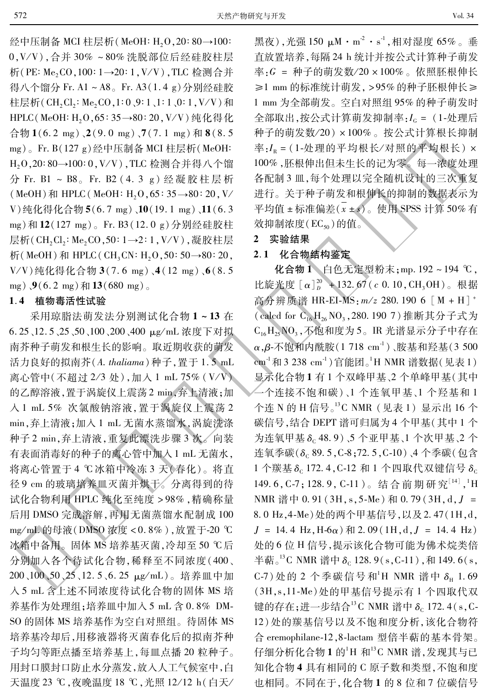Vol. 34

经中压制备 MCI 柱层析(MeOH: H<sub>2</sub>O, 20:80→100: 0, V/V), 合并 30% ~80% 洗脱部位后经硅胶柱层 析(PE: Me<sub>2</sub>CO, 100: 1→20: 1, V/V), TLC 检测合并 得八个馏分 Fr. A1~A8。Fr. A3(1.4 g)分别经硅胶 柱层析(CH<sub>2</sub>Cl<sub>2</sub>: Me<sub>2</sub>CO<sub>2</sub>1:0<sub>2</sub>9:1<sub>2</sub>1:1<sub>2</sub>0:1<sub>2</sub>V/V)和 HPLC(MeOH: H<sub>2</sub>O, 65: 35→80: 20, V/V) 纯化得化 合物 1(6.2 mg)、2(9.0 mg)、7(7.1 mg)和 8(8.5 mg)。Fr. B(127 g)经中压制备 MCI 柱层析(MeOH: H<sub>2</sub>O,20:80→100:0,V/V),TLC 检测合并得八个馏 分 Fr. B1 ~ B8。Fr. B2 (4.3 g) 经凝胶柱层析 (MeOH) 和 HPLC (MeOH: H<sub>2</sub>O, 65: 35→80: 20, V/ V) 纯化得化合物 5(6.7 mg) 、10(19.1 mg) 、11(6.3 mg)和12(127 mg)。Fr. B3(12.0 g)分别经硅胶柱 层析(CH,Cl,: Me,CO,50: 1→2: 1, V/V),凝胶柱层 析 (MeOH) 和 HPLC (CH<sub>3</sub>CN: H<sub>2</sub>O, 50: 50→80: 20, V/V) 纯化得化合物 3(7.6 mg) 、4(12 mg) 、6(8.5 mg),  $9(6.2 \text{ mg}) \text{ } \frac{1}{2}(680 \text{ mg})$ 

### 1.4 植物毒活性试验

采用琼脂法萌发法分别测试化合物 1~13 在 6.25、12.5、25、50、100、200、400 μg/mL 浓度下对拟 南芥种子萌发和根生长的影响。取近期收获的萌发 活力良好的拟南芥(A. thaliama)种子, 置于 1.5 mL 离心管中(不超过 2/3 处),加入 1 mL 75% (V/V) 的乙醇溶液,置于涡旋仪上震荡2 min,弃上清液;加 入1 mL 5% 次氯酸钠溶液, 置于涡旋仪上震荡 2 min,弃上清液;加入1 mL 无菌水蒸馏水,涡旋洗涤 种子 2 min, 弃上清液, 重复此漂洗步骤 3 次。向装 有表面消毒好的种子的离心管中加入1 mL 无菌水, 将离心管置于4℃冰箱中冷冻3天(春化)。将直 径9 cm 的玻璃培养皿灭菌并烘干。分离得到的待 试化合物利用 HPLC 纯化至纯度 > 98%, 精确称量 后用 DMSO 完成溶解,再用无菌蒸馏水配制成 100 mg/mL 的母液(DMSO 浓度<0.8%),放置于-20 ℃ 冰箱中备用。 固体 MS 培养基灭菌, 冷却至 50 ℃后 分别加入各个待试化合物,稀释至不同浓度(400、 200、100、50、25、12.5、6.25 μg/mL)。培养皿中加 入5 mL 含上述不同浓度待试化合物的固体 MS 培 养基作为处理组:培养皿中加入 5 mL 含 0.8% DM-SO 的固体 MS 培养基作为空白对照组。待固体 MS 培养基冷却后,用移液器将灭菌春化后的拟南芥种 子均匀等距点播至培养基上,每皿点播20粒种子。 用封口膜封口防止水分蒸发,放入人工气候室中,白 天温度 23 ℃, 夜晚温度 18 ℃, 光照 12/12 h(白天/

黑夜),光强150 μM·m<sup>2</sup>·s<sup>1</sup>,相对湿度65%。垂 直放置培养,每隔24 h 统计并按公式计算种子萌发 率: $G = \{H\}$ 宇的萌发数/20×100%。依照胚根伸长 ≥1 mm 的标准统计萌发, >95%的种子胚根伸长≥ 1 mm 为全部萌发。空白对照组 95% 的种子萌发时 全部取出,按公式计算萌发抑制率:Ic = (1-处理后 种子的萌发数/20)×100%。按公式计算根长抑制 率: IR = (1-处理的平均根长/对照的平均根长) × 100%,胚根伸出但未生长的记为零。每一浓度处理 各配制3皿,每个处理以完全随机设计的三次重复 进行。关于种子萌发和根伸长的抑制的数据表示为 平均值±标准偏差 $(x \pm s)$ 。使用 SPSS 计算 50% 有 效抑制浓度(EC<sub>50</sub>)的值。

### 2 实验结果

### 2.1 化合物结构鉴定

化合物 1 白色无定型粉末; mp. 192 ~ 194 ℃, 比旋光度  $[\alpha]_p^{20}$  + 132.67 (c 0.10, CH<sub>3</sub>OH)。根据 高分辨质谱 HR-EI-MS: m/z 280. 190 6 [M + H]<sup>+</sup> (calcd for C<sub>16</sub> H<sub>26</sub> NO<sub>3</sub>, 280. 190 7) 推断其分子式为  $C_{16}H_{25}NO_3$ , 不饱和度为5。IR 光谱显示分子中存在  $\alpha$ ,β-不饱和内酰胺(1718 cm<sup>-1</sup>)、胺基和羟基(3500 cm<sup>-1</sup>和3 238 cm<sup>-1</sup>)官能团。<sup>1</sup>H NMR 谱数据(见表1) 显示化合物1有1个双峰甲基、2个单峰甲基(其中 一个连接不饱和碳)、1个连氧甲基、1个羟基和1 个连 N 的 H 信号。<sup>13</sup>C NMR (见表 1) 显示出 16 个 碳信号,结合 DEPT 谱可归属为 4 个甲基(其中1个 为连氧甲基 $\delta$ <sub>C</sub> 48.9) 、5 个亚甲基、1 个次甲基、2 个 连氧季碳(δ<sub>c</sub> 89.5, C-8; 72.5, C-10)、4 个季碳(包含 1 个羰基 δ<sub>c</sub> 172.4, C-12 和 1 个四取代双键信号 δ<sub>c</sub> 149.6, C-7; 128.9, C-11)。结合前期研究<sup>[14]</sup>, <sup>1</sup>H NMR 谱中 0.91 (3H, s, 5-Me) 和 0.79 (3H, d, J = 8.0 Hz, 4-Me) 处的两个甲基信号, 以及 2.47(1H, d,  $J = 14.4$  Hz, H-6 $\alpha$ )  $\bar{m}$  2.09 (1H, d,  $J = 14.4$  Hz) 处的 6 位 H 信号, 提示该化合物可能为佛术烷类倍 半萜  $5^3$ C NMR 谱中 δ<sub>c</sub> 128.9(s, C-11), 和 149.6(s, C-7) 处的 2 个季碳信号和 H NMR 谱中  $\delta_{\rm H}$  1.69 (3H,s,11-Me)处的甲基信号提示有1个四取代双 键的存在;进一步结合<sup>13</sup>C NMR 谱中 δ<sub>c</sub> 172.4(s, C-12) 处的羰基信号以及不饱和度分析, 该化合物符 合 eremophilane-12,8-lactam 型倍半萜的基本骨架。 仔细分析化合物 1 的1H 和<sup>13</sup>C NMR 谱,发现其与已 知化合物 4 具有相同的 C 原子数和类型, 不饱和度 也相同。不同在于,化合物1的8位和7位碳信号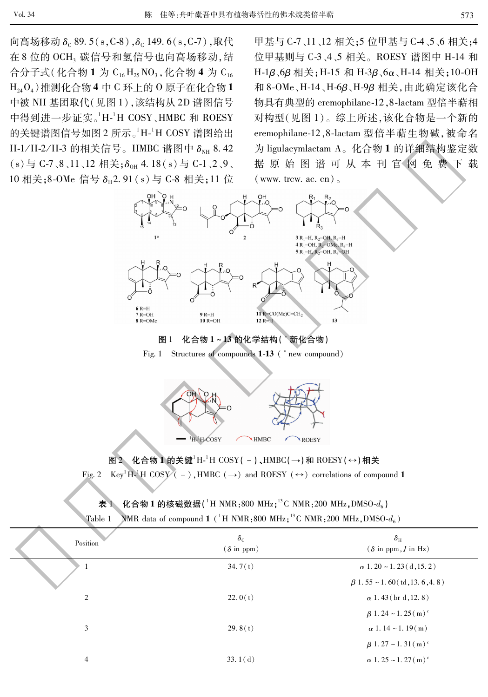573

向高场移动  $\delta_c$  89.5(s, C-8), $\delta_c$ 149.6(s, C-7),取代 在8位的OCH3碳信号和氢信号也向高场移动,结 合分子式(化合物 1 为 C<sub>16</sub> H<sub>25</sub> NO<sub>3</sub>, 化合物 4 为 C<sub>16</sub>  $H_{24}O_4$ ) 推测化合物 4 中 C 环上的 O 原子在化合物 1 中被 NH 基团取代(见图 1),该结构从 2D 谱图信号 中得到进一步证实。<sup>1</sup>H-<sup>1</sup>H COSY、HMBC 和 ROESY 的关键谱图信号如图 2 所示。<sup>1</sup>H-<sup>1</sup>H COSY 谱图给出 H-1/H-2/H-3 的相关信号。HMBC 谱图中 δ<sub>NH</sub> 8.42 (s)与 C-7、8、11、12 相关: $\delta_{0H}$  4.18(s) 与 C-1、2、9、 10相关;8-OMe 信号 δ<sub>π</sub>2.91(s) 与 C-8 相关;11 位

甲基与 C-7、11、12 相关;5 位甲基与 C-4、5、6 相关;4 位甲基则与 C-3、4、5 相关。ROESY 谱图中 H-14 和 H-1β、6β相关; H-15 和 H-3β、6α、H-14 相关; 10-OH 和 8-OMe、H-14、H-6β、H-9β相关, 由此确定该化合 物具有典型的 eremophilane-12,8-lactam 型倍半萜相 对构型(见图1)。综上所述,该化合物是一个新的 eremophilane-12,8-lactam 型倍半萜生物碱,被命名 为 ligulacymlactam A。化合物1的详细结构鉴定数 据原始图谱可从本刊官网免费下载  $(www.$  trew. ac. cn).







图 2 化合物 1 的关键 H<sup>-1</sup>H COSY( - ), HMBC( → ) 和 ROESY( ↔ ) 相关 Fig. 2 Key<sup>1</sup>H<sup>-1</sup>H COSY (-), HMBC ( $\rightarrow$ ) and ROESY ( $\leftrightarrow$ ) correlations of compound 1

|  | 表 1 化合物 1 的核磁数据( ${}^{1}$ H NMR:800 MHz: ${}^{13}$ C NMR:200 MHz,DMSO- $d_6$ ) |  |
|--|--------------------------------------------------------------------------------|--|

| Table 1 NMR data of compound 1 ( $^{1}$ H NMR:800 MHz: <sup>13</sup> C NMR:200 MHz, DMSO- $d_{\epsilon}$ ) |  |  |
|------------------------------------------------------------------------------------------------------------|--|--|
|                                                                                                            |  |  |

| Position | $\delta_{\rm C}$<br>$(\delta$ in ppm) | $\delta_{\rm H}$<br>$(\delta$ in ppm, J in Hz) |
|----------|---------------------------------------|------------------------------------------------|
| 1        | 34.7(t)                               | $\alpha$ 1. 20 ~ 1. 23 ( $\rm{d}$ , 15. 2)     |
|          |                                       | $\beta$ 1.55 ~ 1.60 (td, 13.6, 4.8)            |
| 2        | 22.0(t)                               | $\alpha$ 1.43 (br d, 12.8)                     |
|          |                                       | $\beta$ 1.24 ~ 1.25 (m) <sup>c</sup>           |
| 3        | 29.8 $(t)$                            | $\alpha$ 1.14 ~ 1.19(m)                        |
|          |                                       | $\beta$ 1.27 ~ 1.31 (m) <sup>c</sup>           |
| 4        | 33.1 $(d)$                            | $\alpha$ 1.25 ~ 1.27 (m) <sup>c</sup>          |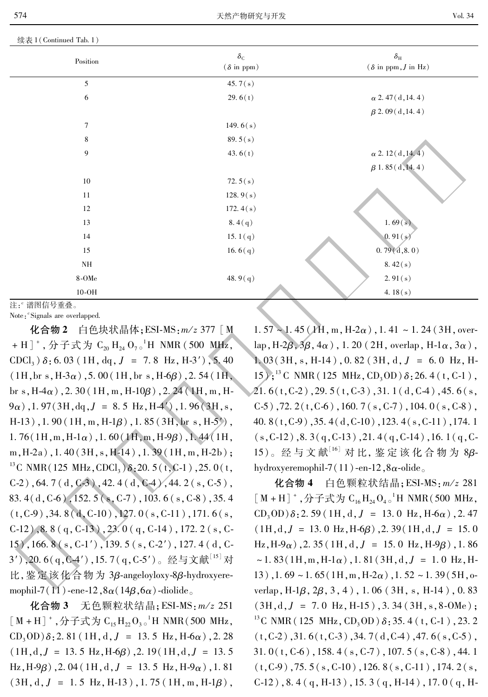|  | 续表 1 (Continued Tab. 1) |  |  |
|--|-------------------------|--|--|
|  |                         |  |  |

574

| $\delta_{\rm C}$<br>$(\delta$ in ppm) | $\delta_{\rm H}$<br>( $\delta$ in ppm, J in Hz) |
|---------------------------------------|-------------------------------------------------|
| 45.7 $(s)$                            |                                                 |
| 29.6(t)                               | $\alpha$ 2.47(d, 14.4)                          |
|                                       | $\beta$ 2.09(d, 14.4)                           |
| 149.6 $(s)$                           |                                                 |
| 89.5 $(s)$                            |                                                 |
| 43.6 $(t)$                            | $\alpha$ 2. 12(d, 14. 4)                        |
|                                       | $\beta$ 1.85 (d, 14.4)                          |
| 72.5 $(s)$                            |                                                 |
| 128.9(s)                              |                                                 |
| 172.4 $(s)$                           |                                                 |
| 8.4(q)                                | 1.69(s)                                         |
| 15.1 $(q)$                            | 0.91(s)                                         |
| 16.6 $(q)$                            | 0.79(d, 8.0)                                    |
|                                       | 8.42(s)                                         |
| 48.9 $(q)$                            | 2.91(s)                                         |
|                                       | 4.18 $(s)$                                      |
|                                       |                                                 |

Note: "Signals are overlapped.

化合物 2 白色块状晶体: ESI-MS: m/z 377 [M + H ] +, 分子式为  $C_{20}H_{24}O_{7}$  o'H NMR (500 MHz,  $CDCl<sub>3</sub>$ )  $\delta$ : 6. 03 (1H, dq, J = 7.8 Hz, H-3'), 5. 40  $(1H, br s, H-3\alpha)$ , 5.00 (1H, br s, H-6 $\beta$ ), 2.54 (1H, br s,  $H4\alpha$ ), 2.30 (1H, m,  $H-10\beta$ ), 2.24 (1H, m, H- $(9\alpha)$ , 1.97(3H, dq, J = 8.5 Hz, H-4'), 1.96(3H, s,  $H-13$ ), 1.90 (1H, m,  $H-1\beta$ ), 1.85 (3H, br s,  $H-5'$ ).  $1.76(1H,m,H-1\alpha)$ ,  $1.60(1H,m,H-9\beta)$ ,  $1.44(1H,$  $m,H-2a)$ , 1.40(3H, s, H-14), 1.39(1H, m, H-2b); <sup>13</sup>C NMR(125 MHz, CDCl<sub>3</sub>)  $\delta$ : 20. 5(t, C-1), 25. 0(t,  $C-2$ ), 64.7(d,  $C-3$ ), 42.4(d,  $C-4$ ), 44.2(s,  $C-5$ ), 83. 4 (d, C-6), 152. 5 (s, C-7), 103. 6 (s, C-8), 35. 4  $(t, C-9)$ , 34. 8 (d, C-10), 127. 0 (s, C-11), 171. 6 (s, C-12),  $8.8(q, C-13)$ ,  $23.0(q, C-14)$ ,  $172.2(s, C-14)$ 15), 166.  $8$  (s, C-1'), 139.  $5$  (s, C-2'), 127.  $4$  (d, C-3'), 20.6(g, C-4'), 15.7(g, C-5')。经与文献[15]对 比, 鉴定该化合物为 3β-angeloyloxy-8β-hydroxyeremophil-7(11)-ene-12,  $8\alpha(14\beta, 6\alpha)$ -diolide.

化合物 3 无色颗粒状结晶; ESI-MS: m/z 251  $[M + H]$ <sup>+</sup>, 分子式为 C<sub>15</sub> H<sub>22</sub>O<sub>3</sub><sup>-1</sup>H NMR(500 MHz,  $CD_3OD$ )  $\delta$ : 2. 81 (1H, d, J = 13.5 Hz, H-6 $\alpha$ ), 2. 28  $(1H,d,J = 13.5 Hz,H-6\beta)$ , 2. 19(1H, d, J = 13. 5) Hz, H-9 $\beta$ ), 2.04 (1H, d, J = 13.5 Hz, H-9 $\alpha$ ), 1.81  $(3H, d, J = 1.5 Hz, H-13)$ , 1.75 (1H, m, H-1 $\beta$ ),

 $1.57 \sim 1.45$  (1H, m, H-2 $\alpha$ ), 1.41 ~ 1.24 (3H, overlap, H-2 $\beta$ , 3 $\beta$ , 4 $\alpha$ ), 1.20 (2H, overlap, H-1 $\alpha$ , 3 $\alpha$ ),  $1.03(3H, s, H-14)$ , 0.82 (3H, d,  $J = 6.0$  Hz, H-15);<sup>13</sup> C NMR (125 MHz, CD<sub>3</sub>OD)  $\delta$ : 26.4 (t, C-1),  $21.6(t, C-2)$ ,  $29.5(t, C-3)$ ,  $31.1(d, C-4)$ ,  $45.6(s, C-2)$  $(C-5)$ , 72. 2(t,  $C-6$ ), 160. 7(s,  $C-7$ ), 104. 0(s,  $C-8$ ), 40.8(t, C-9), 35.4(d, C-10), 123.4(s, C-11), 174.1  $(s, C-12)$ , 8. 3(q, C-13), 21. 4(q, C-14), 16. 1(q, C-15)。经与文献[16] 对比,鉴定该化合物为 8βhydroxyeremophil-7(11)-en-12,8 $\alpha$ -olide.

化合物 4 白色颗粒状结晶: ESI-MS: m/z 281  $[M + H]$ <sup>+</sup>, 分子式为 C<sub>16</sub>H<sub>24</sub>O<sub>4</sub><sup>-1</sup>H NMR(500 MHz,  $CD_3OD$ )  $\delta$ : 2. 59 (1H, d, J = 13.0 Hz, H-6 $\alpha$ ), 2. 47  $(1H, d, J = 13.0 \text{ Hz}, H-6\beta)$ , 2. 39(1H, d, J = 15.0)  $\text{Hz}, \text{H-9}\alpha$ ), 2.35 (1H, d, J = 15.0 Hz, H-9 $\beta$ ), 1.86  $\sim$  1.83(1H, m, H-1 $\alpha$ ), 1.81(3H, d, J = 1.0 Hz, H-13), 1.69 ~ 1.65 (1H, m, H-2 $\alpha$ ), 1.52 ~ 1.39 (5H, overlap, H-1 $\beta$ , 2 $\beta$ , 3, 4), 1.06 (3H, s, H-14), 0.83  $(3H,d,J = 7.0 Hz, H-15)$ , 3.34  $(3H,s, 8-0Me)$ ; <sup>13</sup>C NMR (125 MHz, CD<sub>3</sub>OD)  $\delta$ : 35.4 (t, C-1), 23.2  $(t, C-2)$ , 31. 6(t, C-3), 34. 7(d, C-4), 47. 6(s, C-5),  $31.0(t, C-6)$ , 158.4(s, C-7), 107.5(s, C-8), 44.1  $(t, C-9)$ , 75.5 $(s, C-10)$ , 126.8 $(s, C-11)$ , 174.2 $(s,$  $C-12$ ), 8.4(q, H-13), 15.3(q, H-14), 17.0(q, H-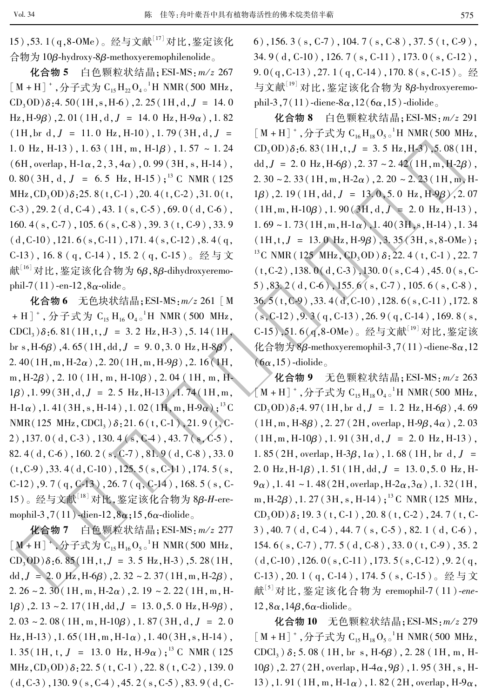15), 53. 1(q, 8-OMe)。经与文献<sup>[17]</sup> 对比, 鉴定该化 合物为 10β-hydroxy-8β-methoxyeremophilenolide.

化合物 5 白色颗粒状结晶; ESI-MS: m/z 267  $[M + H]$ <sup>+</sup>, 分子式为 C<sub>15</sub> H<sub>22</sub> O<sub>4 o</sub><sup>1</sup>H NMR(500 MHz,  $CD_3OD$ )  $\delta$ : 4. 50 (1H, s, H-6), 2. 25 (1H, d, J = 14. 0 Hz, H-9 $\beta$ ), 2.01 (1H, d, J = 14.0 Hz, H-9 $\alpha$ ), 1.82  $(1H, br d, J = 11.0 Hz, H-10)$ , 1.79 (3H, d, J = 1.0 Hz, H-13), 1.63 (1H, m, H-1 $\beta$ ), 1.57 ~ 1.24  $(6H, overlap, H-1\alpha, 2, 3, 4\alpha)$ , 0.99 (3H, s, H-14),  $0.80(3H, d, J = 6.5 Hz, H-15);$ <sup>13</sup> C NMR (125 MHz,  $CD_3OD$ ) $\delta$ : 25. 8(t, C-1), 20. 4(t, C-2), 31. 0(t,  $(C-3)$ , 29. 2 (d,  $C-4$ ), 43. 1 (s,  $C-5$ ), 69. 0 (d,  $C-6$ ), 160.  $4(s, C-7)$ , 105.  $6(s, C-8)$ , 39.  $3(t, C-9)$ , 33. 9  $(d, C-10)$ , 121. 6(s, C-11), 171. 4(s, C-12), 8. 4(q, C-13), 16.8 (q, C-14), 15.2 (q, C-15)。经与文 献<sup>[16]</sup>对比,鉴定该化合物为 6β,8β-dihydroxyeremophil-7(11)-en-12,8 $\alpha$ -olide.

化合物 6 无色块状结晶; ESI-MS: m/z 261 [ M + H]<sup>+</sup>, 分子式为 C<sub>15</sub> H<sub>16</sub> O<sub>4</sub><sup>-1</sup>H NMR (500 MHz, CDCl<sub>3</sub>)  $\delta$ : 6. 81 (1H, t, J = 3. 2 Hz, H-3), 5. 14 (1H, br s, H-6 $\beta$ ), 4.65 (1H, dd,  $J = 9.0$ , 3.0 Hz, H-8 $\beta$ ), 2.40(1H, m, H-2 $\alpha$ ), 2.20(1H, m, H-9 $\beta$ ), 2.16(1H, m,  $H-2\beta$ ), 2.10 (1H, m,  $H-10\beta$ ), 2.04 (1H, m, H- $1\beta$ ), 1.99(3H, d, J = 2.5 Hz, H-13), 1.74(1H, m,  $H-1\alpha)$ , 1. 41 (3H, s, H-14), 1. 02 (1H, m, H-9 $\alpha$ );<sup>13</sup> C NMR(125 MHz, CDCl<sub>3</sub>)  $\delta$ : 21.6(t, C-1), 21.9(t, C- $2)$ , 137. 0 (d, C-3), 130. 4 (s, C-4), 43. 7 (s, C-5), 82.4(d, C-6), 160.2(s, C-7), 81.9(d, C-8), 33.0  $(t, C-9)$ , 33. 4 (d, C-10), 125. 5 (s, C-11), 174. 5 (s, C-12), 9.7 (q, C-13), 26.7 (q, C-14), 168.5 (s, C-15)。经与文献<sup>[18]</sup>对比,鉴定该化合物为 8β-H-eremophil-3,7(11)-dien-12,8 $\alpha$ ;15,6 $\alpha$ -diolide.

化合物 7 白色颗粒状结晶; ESI-MS: m/z 277  $[M + H]$ <sup>+</sup>, 分子式为  $C_{15}H_{16}O_{50}^{-1}H$  NMR(500 MHz,  $CD_3OD$ )  $\delta$ : 6. 85 (1H, t, J = 3.5 Hz, H-3), 5. 28 (1H, dd,  $J = 2.0$  Hz,  $H-6\beta$ ),  $2.32 \sim 2.37(1H, m, H-2\beta)$ , 2.  $26 \sim 2.30(1H, m, H-2\alpha)$ ,  $2.19 \sim 2.22(1H, m, H-2\alpha)$  $1\beta$ ), 2. 13 ~ 2. 17 (1H, dd,  $J = 13.0$ , 5. 0 Hz, H-9 $\beta$ ),  $2.03 \sim 2.08(1H, m, H-10\beta), 1.87(3H, d, J = 2.0)$  $Hz$ , H-13), 1.65(1H, m, H-1 $\alpha$ ), 1.40(3H, s, H-14), 1. 35 (1H, t, J = 13.0 Hz, H-9 $\alpha$ );<sup>13</sup> C NMR (125 MHz,  $CD_3OD$ )  $\delta$ : 22. 5 (t, C-1), 22. 8 (t, C-2), 139. 0  $(d, C-3)$ , 130. 9 (s, C-4), 45. 2 (s, C-5), 83. 9 (d, C- 6), 156. 3 (s, C-7), 104. 7 (s, C-8), 37. 5 (t, C-9),  $34.9(d, C-10)$ , 126.7(s, C-11), 173.0(s, C-12), 9.  $0(q, C-13)$ , 27.  $1(q, C-14)$ , 170.  $8(s, C-15)$ 。经 与文献<sup>[19]</sup> 对比, 鉴定该化合物为 8β-hydroxyeremophil-3,7(11)-diene- $8\alpha$ , 12( $6\alpha$ , 15)-diolide.

化合物 8 白色颗粒状结晶; ESI-MS: m/z 291  $[M + H]$ <sup>+</sup>, 分子式为  $C_{16}H_{18}O_{50}^{-1}H$  NMR(500 MHz,  $CD_3OD$ )  $\delta$ : 6. 83 (1H, t, J = 3. 5 Hz, H-3), 5. 08 (1H, dd,  $J = 2.0$  Hz,  $H=6\beta$ ),  $2.37 \sim 2.42$  (1H, m,  $H=2\beta$ ), 2. 30 ~ 2. 33 (1H, m, H-2 $\alpha$ ), 2. 20 ~ 2. 23 (1H, m, H- $1g$ ), 2. 19 (1H, dd,  $J = 13.0, 5.0$  Hz, H-9 $g$ ), 2. 07  $(1H,m,H-10\beta)$ , 1.90 $(3H,d,J = 2.0 Hz,H-13)$ ,  $1.69 \sim 1.73(1H, m, H-1\alpha)$ ,  $1.40(3H, s, H-14)$ ,  $1.34$  $(1H, t, J = 13.0 Hz, H-9\beta), 3.35(3H, s, 8-0Me);$ <sup>13</sup>C NMR (125 MHz, CD<sub>3</sub>OD)  $\delta$ : 22.4 (t, C-1), 22.7  $(t, C-2)$ , 138. 0(d, C-3), 130. 0(s, C-4), 45. 0(s, C-5),83.2(d, C-6),155.6(s, C-7), 105.6(s, C-8),  $36.5(t, C-9)$ ,  $33.4(d, C-10)$ ,  $128.6(s, C-11)$ ,  $172.8$  $(s, C-12)$ , 9.3 (q, C-13), 26.9 (q, C-14), 169.8 (s, C-15), 51.6(q,8-OMe)。经与文献[19] 对比, 鉴定该 化合物为 8 $\beta$ -methoxyeremophil-3,7(11)-diene-8 $\alpha$ ,12  $(6\alpha, 15)$ -diolide.

化合物 9 无色颗粒状结晶; ESI-MS: m/z 263  $[M + H]$ <sup>+</sup>, 分子式为  $C_{15}H_{18}O_{40}$ <sup>1</sup>H NMR(500 MHz,  $CD_3OD$ )  $\delta$ : 4. 97 (1H, br d, J = 1. 2 Hz, H-6 $\beta$ ), 4. 69  $(1H, m, H-8\beta)$ , 2. 27 (2H, overlap,  $H-9\beta, 4\alpha)$ , 2. 03  $(1H,m,H-10\beta)$ , 1.91 $(3H,d,J = 2.0 Hz,H-13)$ , 1.85 (2H, overlap, H-3 $\beta$ , 1 $\alpha$ ), 1.68 (1H, br d, J = 2. 0 Hz, H-1 $\beta$ ), 1. 51 (1H, dd,  $J = 13.0$ , 5. 0 Hz, H- $(9\alpha)$ , 1. 41 ~ 1. 48 (2H, overlap, H-2 $\alpha$ , 3 $\alpha$ ), 1. 32 (1H, m, H-2 $\beta$ ), 1.27 (3H, s, H-14);<sup>13</sup> C NMR (125 MHz,  $CD_3OD$ )  $\delta$ : 19. 3 (t, C-1), 20. 8 (t, C-2), 24. 7 (t, C-3), 40.7 (d, C-4), 44.7 (s, C-5), 82.1 (d, C-6), 154.6(s, C-7), 77.5(d, C-8), 33.0(t, C-9), 35.2  $(d, C-10)$ , 126. 0(s, C-11), 173. 5(s, C-12), 9. 2(q, C-13), 20.1 (q, C-14), 174.5 (s, C-15)。经与文 献<sup>[5]</sup>对比, 鉴定该化合物为 eremophil-7 (11)-ene- $12, 8\alpha, 14\beta, 6\alpha$ -diolide.

化合物 10 无色颗粒状结晶; ESI-MS: m/z 279 [M+H]<sup>+</sup>,分子式为 $C_{15}H_{18}O_{5}$ <sup>1</sup>H NMR(500 MHz, CDCl<sub>3</sub>)  $\delta$ : 5.08 (1H, br s, H-6 $\beta$ ), 2.28 (1H, m, H- $10\beta$ ), 2. 27 (2H, overlap, H $-4\alpha$ , 9 $\beta$ ), 1. 95 (3H, s, H-13), 1.91 (1H, m, H-1 $\alpha$ ), 1.82 (2H, overlap, H-9 $\alpha$ ,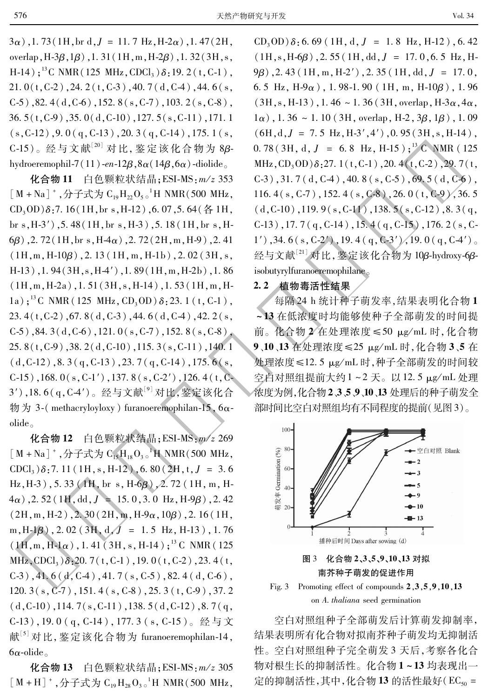Vol. 34

 $3\alpha$ ), 1.73 (1H, br d, J = 11.7 Hz, H-2 $\alpha$ ), 1.47 (2H, overlap,  $H-3\beta$ ,  $1\beta$ ), 1.31( $1H$ , m,  $H-2\beta$ ), 1.32( $3H$ , s, H-14);<sup>13</sup>C NMR(125 MHz, CDCl<sub>3</sub>) $\delta$ :19.2(t, C-1),  $21.0(t, C-2)$ , 24. 2(t, C-3), 40. 7(d, C-4), 44. 6(s,  $(C-5)$ , 82. 4(d,  $C-6$ ), 152. 8(s,  $C-7$ ), 103. 2(s,  $C-8$ ),  $36.5(t, C-9)$ ,  $35.0(d, C-10)$ ,  $127.5(s, C-11)$ ,  $171.1$  $(s, C-12)$ , 9.0(q, C-13), 20.3(q, C-14), 175.1(s, C-15)。经与文献<sup>[20]</sup> 对比, 鉴定该化合物为 8βhydroeremophil-7(11)-en-12 $\beta$ ,  $8\alpha$ (14 $\beta$ ,  $6\alpha$ )-diolide

化合物 11 白色颗粒状结晶; ESI-MS: m/z 353  $\lceil M + Na \rceil^+$ , 分子式为  $C_{10}H_{22}O_{50}^{-1}H NMR(500 MHz,$  $CD_3OD$  $\delta$ :7.16(1H, br s, H-12), 6.07, 5.64(各1H, br s,  $H-3'$ ), 5.48(1H, br s,  $H-3$ ), 5.18(1H, br s,  $H-$ 6 $\beta$ ), 2. 72 (1H, br s, H $-4\alpha$ ), 2. 72 (2H, m, H $-9$ ), 2. 41  $(1H,m,H-10\beta)$ , 2. 13 (1H, m, H-1b), 2. 02 (3H, s,  $H-13$ ), 1.94(3H, s,  $H-4'$ ), 1.89(1H, m,  $H-2b$ ), 1.86  $(1H,m,H-2a)$ , 1.51 $(3H,s,H-14)$ , 1.53 $(1H,m,H-1)$ 1a);<sup>13</sup>C NMR (125 MHz, CD<sub>3</sub>OD)  $\delta$ : 23.1 (t, C-1), 23.  $4(t, C-2)$ , 67.  $8(d, C-3)$ , 44.  $6(d, C-4)$ , 42.  $2(s,$  $(C-5)$ , 84. 3(d,  $C-6$ ), 121.  $0(s, C-7)$ , 152. 8(s,  $C-8$ ),  $25.8(t,C-9)$ , 38. 2(d, C-10), 115. 3(s, C-11), 140. 1  $(d, C-12)$ , 8. 3  $(q, C-13)$ , 23. 7  $(q, C-14)$ , 175. 6  $(s,$  $C-15$ ), 168.  $0(s, C-1')$ , 137.  $8(s, C-2')$ , 126.  $4(t, C-1')$ 3'),18.6(q,C-4')。经与文献<sup>[9]</sup>对比,鉴定该化合 物为 3-(methacryloyloxy) furanoeremophilan-15,  $6\alpha$  $olide<sub>o</sub>$ 

化合物 12 白色颗粒状结晶; ESI-MS: m/z 269  $[M + Na]$ <sup>+</sup>, 分子式为  $C_{15}H_{18}O_{30}$ <sup>1</sup>H NMR(500 MHz,  $CDCl<sub>3</sub>$ ) $\delta$ : 7. 11 (1H, s, H-12), 6. 80 (2H, t, J = 3.6) Hz, H-3), 5.33 (1H, br s, H-6 $\beta$ ), 2.72 (1H, m, H- $4\alpha$ ), 2.52 (1H, dd, J = 15.0, 3.0 Hz, H-9 $\beta$ ), 2.42  $(2H, m, H-2)$ , 2. 30  $(2H, m, H-9\alpha, 10\beta)$ , 2. 16  $(1H,$ m,  $H-1\beta$ ), 2.02 (3H, d,  $J = 1.5$  Hz,  $H-13$ ), 1.76  $(1H,m,H-1\alpha)$ , 1.41 (3H, s, H-14);<sup>13</sup> C NMR (125) MHz, CDCl<sub>3</sub>) $\delta$ :20.7(t, C-1), 19.0(t, C-2), 23.4(t,  $(C-3)$ , 41.6(d,  $C-4$ ), 41.7(s,  $C-5$ ), 82.4(d,  $C-6$ ), 120.  $3(s, C-7)$ , 151.  $4(s, C-8)$ , 25.  $3(t, C-9)$ , 37. 2  $(d, C-10)$ , 114. 7(s, C-11), 138. 5(d, C-12), 8. 7(q, C-13), 19.0(q, C-14), 177.3(s, C-15)。经与文 献[5] 对比, 鉴定该化合物为 furanoeremophilan-14,  $6\alpha$ -olide.

化合物 13 白色颗粒状结晶; ESI-MS: m/z 305  $[M + H]$ <sup>+</sup>, 分子式为  $C_{19}H_{28}O_{30}$ <sup>1</sup>H NMR(500 MHz,

 $CD_3OD$ )  $\delta$ : 6.69 (1H, d, J = 1.8 Hz, H-12), 6.42  $(1H, s, H-6\beta)$ , 2.55  $(1H, dd, J = 17, 0, 6.5 Hz, H 9\beta$ ), 2.43 (1H, m, H-2'), 2.35 (1H, dd,  $J = 17.0$ , 6.5 Hz,  $H-9\alpha$ ), 1.98-1.90 (1H, m,  $H-10\beta$ ), 1.96  $(3H, s, H-13)$ , 1.46 ~ 1.36 (3H, overlap, H-3 $\alpha$ , 4 $\alpha$ )  $1\alpha$ ), 1.36 ~ 1.10 (3H, overlap, H-2, 3 $\beta$ , 1 $\beta$ ), 1.09  $(6H,d,J = 7.5 Hz,H-3',4')$ , 0.95 $(3H,s,H-14)$ ,  $0.78(3H, d, J = 6.8 Hz, H-15);$ <sup>13</sup> C NMR (125 MHz,  $CD_3OD$ ) $\delta$ : 27. 1(t, C-1), 20. 4(t, C-2), 29. 7(t,  $(C-3)$ , 31. 7 (d,  $C-4$ ), 40. 8 (s,  $C-5$ ), 69. 5 (d,  $C-6$ ), 116.  $4(s, C-7)$ , 152.  $4(s, C-8)$ , 26.  $0(t, C-9)$ , 36. 5  $(d, C-10)$ , 119.9(s, C-11), 138.5(s, C-12), 8.3(q,  $C-13$ ), 17.7(q, C-14), 15.4(q, C-15), 176.2(s, C-1'), 34. 6 (s, C-2'), 19. 4 (q, C-3'), 19. 0 (q, C-4'). 经与文献<sup>[21]</sup> 对比, 鉴定该化合物为 10β-hydroxy-6βisobutyrylfuranoeremophilane.

#### 2.2 植物毒活性结果

每隔 24 h 统计种子萌发率,结果表明化合物1 ~13 在低浓度时均能够使种子全部萌发的时间提 前。化合物 2 在处理浓度 ≤50 µg/mL 时, 化合物 9、10、13 在处理浓度≤25 µg/mL 时, 化合物 3、5 在 处理浓度≤12.5 µg/mL 时,种子全部萌发的时间较 空白对照组提前大约1~2天。以12.5 μg/mL 处理 浓度为例,化合物2、3、5、9、10、13 处理后的种子萌发全 部时间比空白对照组均有不同程度的提前(见图3)。



Fig. 3 Promoting effect of compounds  $2,3,5,9,10,13$ on A. thaliana seed germination

空白对照组种子全部萌发后计算萌发抑制率, 结果表明所有化合物对拟南芥种子萌发均无抑制活 性。空白对照组种子完全萌发3天后,考察各化合 物对根生长的抑制活性。化合物1~13均表现出一 定的抑制活性,其中,化合物13的活性最好(EC50 =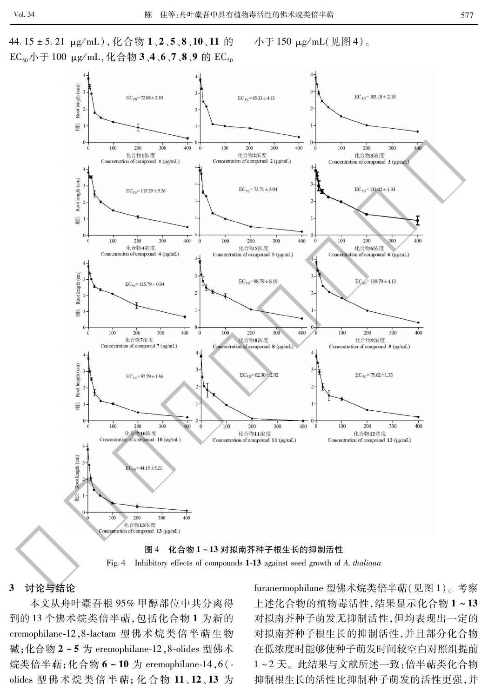44.15 ± 5.21 μg/mL), 化合物 1、2、5、8、10、11 的 EC<sub>50</sub>小于 100 μg/mL, 化合物 3、4、6、7、8、9 的 EC<sub>50</sub> 小于150 μg/mL(见图4)。





#### 讨论与结论 3

本文从舟叶橐吾根 95% 甲醇部位中共分离得 到的13个佛术烷类倍半萜,包括化合物1为新的 eremophilane-12,8-lactam 型佛术烷类倍半萜生物 碱;化合物 2~5 为 eremophilane-12,8-olides 型佛术 烷类倍半萜; 化合物 6~10 为 eremophilane-14, 6(olides 型佛术烷类倍半萜; 化合物 11、12、13 为

furanermophilane 型佛术烷类倍半萜(见图1)。考察 上述化合物的植物毒活性,结果显示化合物1~13 对拟南芥种子萌发无抑制活性,但均表现出一定的 对拟南芥种子根生长的抑制活性,并且部分化合物 在低浓度时能够使种子萌发时间较空白对照组提前 1~2天。此结果与文献所述一致: 倍半萜类化合物 抑制根生长的活性比抑制种子萌发的活性更强,并